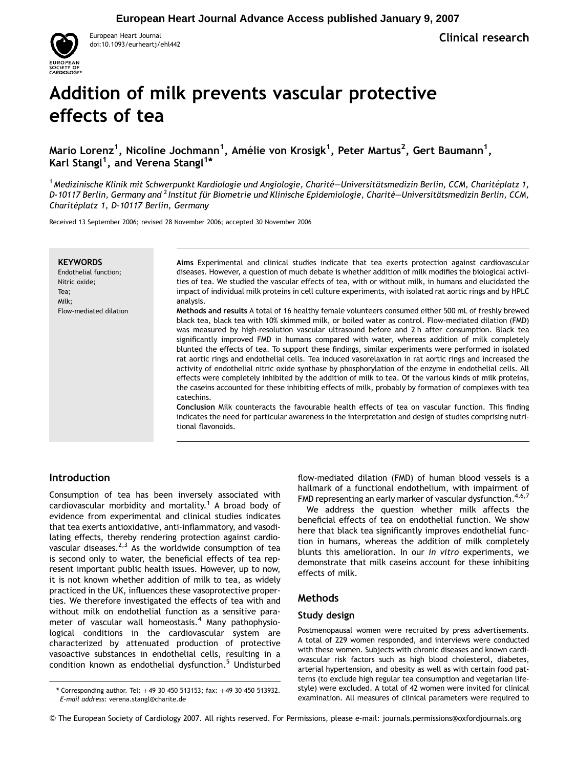

Clinical research

# Addition of milk prevents vascular protective effects of tea

Mario Lorenz<sup>1</sup>, Nicoline Jochmann<sup>1</sup>, Amélie von Krosigk<sup>1</sup>, Peter Martus<sup>2</sup>, Gert Baumann<sup>1</sup>, Karl Stangl<sup>1</sup>, and Verena Stangl<sup>1\*</sup>

 $1$ Medizinische Klinik mit Schwerpunkt Kardiologie und Angiologie, Charité—Universitätsmedizin Berlin, CCM, Charitéplatz 1, D-10117 Berlin, Germany and <sup>2</sup> Institut für Biometrie und Klinische Epidemiologie, Charité–Universitätsmedizin Berlin, CCM, Charitéplatz 1, D-10117 Berlin, Germany

Received 13 September 2006; revised 28 November 2006; accepted 30 November 2006

| <b>KEYWORDS</b><br>Endothelial function;<br>Nitric oxide;<br>Tea;<br>Milk; | Aims Experimental and clinical studies indicate that tea exerts protection against cardiovascular<br>diseases. However, a question of much debate is whether addition of milk modifies the biological activi-<br>ties of tea. We studied the vascular effects of tea, with or without milk, in humans and elucidated the<br>impact of individual milk proteins in cell culture experiments, with isolated rat aortic rings and by HPLC<br>analysis.                                                                                                                                                                                                                                                                                                                                                                                                                                                                                                                                                                                                                                                                                                                                                                                     |
|----------------------------------------------------------------------------|-----------------------------------------------------------------------------------------------------------------------------------------------------------------------------------------------------------------------------------------------------------------------------------------------------------------------------------------------------------------------------------------------------------------------------------------------------------------------------------------------------------------------------------------------------------------------------------------------------------------------------------------------------------------------------------------------------------------------------------------------------------------------------------------------------------------------------------------------------------------------------------------------------------------------------------------------------------------------------------------------------------------------------------------------------------------------------------------------------------------------------------------------------------------------------------------------------------------------------------------|
| Flow-mediated dilation                                                     | Methods and results A total of 16 healthy female volunteers consumed either 500 mL of freshly brewed<br>black tea, black tea with 10% skimmed milk, or boiled water as control. Flow-mediated dilation (FMD)<br>was measured by high-resolution vascular ultrasound before and 2 h after consumption. Black tea<br>significantly improved FMD in humans compared with water, whereas addition of milk completely<br>blunted the effects of tea. To support these findings, similar experiments were performed in isolated<br>rat aortic rings and endothelial cells. Tea induced vasorelaxation in rat aortic rings and increased the<br>activity of endothelial nitric oxide synthase by phosphorylation of the enzyme in endothelial cells. All<br>effects were completely inhibited by the addition of milk to tea. Of the various kinds of milk proteins,<br>the caseins accounted for these inhibiting effects of milk, probably by formation of complexes with tea<br>catechins.<br><b>Conclusion</b> Milk counteracts the favourable health effects of tea on vascular function. This finding<br>indicates the need for particular awareness in the interpretation and design of studies comprising nutri-<br>tional flavonoids. |

# Introduction

Consumption of tea has been inversely associated with cardiovascular morbidity and mortality.<sup>1</sup> A broad body of evidence from experimental and clinical studies indicates that tea exerts antioxidative, anti-inflammatory, and vasodilating effects, thereby rendering protection against cardiovascular diseases. $2<sup>3</sup>$  As the worldwide consumption of tea is second only to water, the beneficial effects of tea represent important public health issues. However, up to now, it is not known whether addition of milk to tea, as widely practiced in the UK, influences these vasoprotective properties. We therefore investigated the effects of tea with and without milk on endothelial function as a sensitive parameter of vascular wall homeostasis.<sup>4</sup> Many pathophysiological conditions in the cardiovascular system are characterized by attenuated production of protective vasoactive substances in endothelial cells, resulting in a condition known as endothelial dysfunction.<sup>5</sup> Undisturbed flow-mediated dilation (FMD) of human blood vessels is a hallmark of a functional endothelium, with impairment of FMD representing an early marker of vascular dysfunction.<sup>4,6,7</sup>

We address the question whether milk affects the beneficial effects of tea on endothelial function. We show here that black tea significantly improves endothelial function in humans, whereas the addition of milk completely blunts this amelioration. In our in vitro experiments, we demonstrate that milk caseins account for these inhibiting effects of milk.

# Methods

## Study design

Postmenopausal women were recruited by press advertisements. A total of 229 women responded, and interviews were conducted with these women. Subjects with chronic diseases and known cardiovascular risk factors such as high blood cholesterol, diabetes, arterial hypertension, and obesity as well as with certain food patterns (to exclude high regular tea consumption and vegetarian lifestyle) were excluded. A total of 42 women were invited for clinical examination. All measures of clinical parameters were required to

<sup>\*</sup> Corresponding author. Tel:  $+49$  30 450 513153; fax:  $+49$  30 450 513932. E-mail address: verena.stangl@charite.de

*<sup>&</sup>amp;* The European Society of Cardiology 2007. All rights reserved. For Permissions, please e-mail: journals.permissions@oxfordjournals.org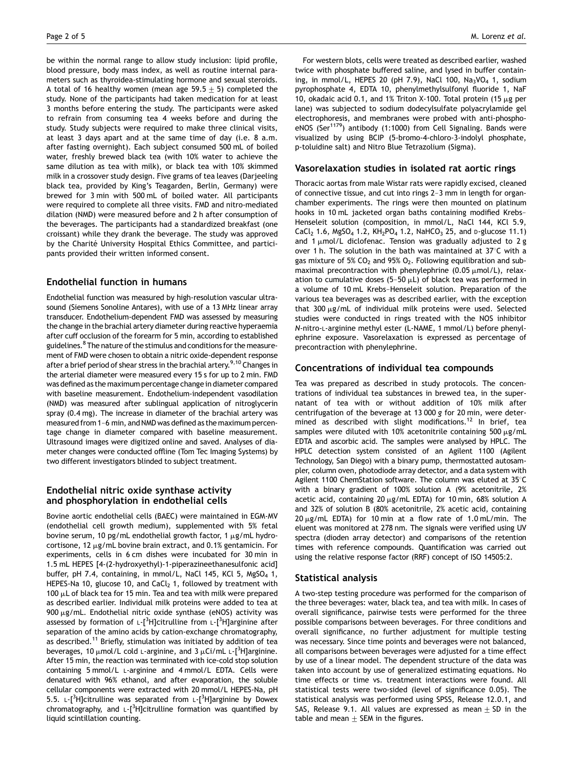be within the normal range to allow study inclusion: lipid profile, blood pressure, body mass index, as well as routine internal parameters such as thyroidea-stimulating hormone and sexual steroids. A total of 16 healthy women (mean age  $59.5 + 5$ ) completed the study. None of the participants had taken medication for at least 3 months before entering the study. The participants were asked to refrain from consuming tea 4 weeks before and during the study. Study subjects were required to make three clinical visits, at least 3 days apart and at the same time of day (i.e. 8 a.m. after fasting overnight). Each subject consumed 500 mL of boiled water, freshly brewed black tea (with 10% water to achieve the same dilution as tea with milk), or black tea with 10% skimmed milk in a crossover study design. Five grams of tea leaves (Darjeeling black tea, provided by King's Teagarden, Berlin, Germany) were brewed for 3 min with 500 mL of boiled water. All participants were required to complete all three visits. FMD and nitro-mediated dilation (NMD) were measured before and 2 h after consumption of the beverages. The participants had a standardized breakfast (one croissant) while they drank the beverage. The study was approved by the Charité University Hospital Ethics Committee, and participants provided their written informed consent.

## Endothelial function in humans

Endothelial function was measured by high-resolution vascular ultrasound (Siemens Sonoline Antares), with use of a 13 MHz linear array transducer. Endothelium-dependent FMD was assessed by measuring the change in the brachial artery diameter during reactive hyperaemia after cuff occlusion of the forearm for 5 min, according to established guidelines.<sup>8</sup> The nature of the stimulus and conditions for the measurement of FMD were chosen to obtain a nitric oxide-dependent response after a brief period of shear stress in the brachial artery.<sup>9,10</sup> Changes in the arterial diameter were measured every 15 s for up to 2 min. FMD was defined as the maximum percentage change in diameter compared with baseline measurement. Endothelium-independent vasodilation (NMD) was measured after sublingual application of nitroglycerin spray (0.4 mg). The increase in diameter of the brachial artery was measured from 1–6 min, and NMD was defined as the maximum percentage change in diameter compared with baseline measurement. Ultrasound images were digitized online and saved. Analyses of diameter changes were conducted offline (Tom Tec Imaging Systems) by two different investigators blinded to subject treatment.

## Endothelial nitric oxide synthase activity and phosphorylation in endothelial cells

Bovine aortic endothelial cells (BAEC) were maintained in EGM-MV (endothelial cell growth medium), supplemented with 5% fetal bovine serum, 10 pg/mL endothelial growth factor, 1  $\mu$ g/mL hydrocortisone, 12  $\mu$ g/mL bovine brain extract, and 0.1% gentamicin. For experiments, cells in 6 cm dishes were incubated for 30 min in 1.5 mL HEPES [4-(2-hydroxyethyl)-1-piperazineethanesulfonic acid] buffer, pH 7.4, containing, in mmol/L, NaCl 145, KCl 5, MgSO<sub>4</sub> 1, HEPES-Na 10, glucose 10, and CaCl<sub>2</sub> 1, followed by treatment with 100  $\mu$ L of black tea for 15 min. Tea and tea with milk were prepared as described earlier. Individual milk proteins were added to tea at 900  $\mu$ g/mL. Endothelial nitric oxide synthase (eNOS) activity was assessed by formation of  $L$ -[<sup>3</sup>H]citrulline from  $L$ -[<sup>3</sup>H]arginine after separation of the amino acids by cation-exchange chromatography, as described.<sup>11</sup> Briefly, stimulation was initiated by addition of tea beverages, 10  $\mu$ mol/L cold L-arginine, and 3  $\mu$ Ci/mL L-[<sup>3</sup>H]arginine. After 15 min, the reaction was terminated with ice-cold stop solution containing 5 mmol/L L-arginine and 4 mmol/L EDTA. Cells were denatured with 96% ethanol, and after evaporation, the soluble cellular components were extracted with 20 mmol/L HEPES-Na, pH 5.5. L-[<sup>3</sup>H]citrulline was separated from L-[<sup>3</sup>H]arginine by Dowex chromatography, and L-[<sup>3</sup>H]citrulline formation was quantified by liquid scintillation counting.

For western blots, cells were treated as described earlier, washed twice with phosphate buffered saline, and lysed in buffer containing, in mmol/L, HEPES 20 (pH 7.9), NaCl 100,  $Na_3VO_4$  1, sodium pyrophosphate 4, EDTA 10, phenylmethylsulfonyl fluoride 1, NaF 10, okadaic acid 0.1, and 1% Triton X-100. Total protein (15  $\mu$ g per lane) was subjected to sodium dodecylsulfate polyacrylamide gel electrophoresis, and membranes were probed with anti-phosphoeNOS (Ser<sup>1179</sup>) antibody (1:1000) from Cell Signaling. Bands were visualized by using BCIP (5-bromo-4-chloro-3-indolyl phosphate, p-toluidine salt) and Nitro Blue Tetrazolium (Sigma).

#### Vasorelaxation studies in isolated rat aortic rings

Thoracic aortas from male Wistar rats were rapidly excised, cleaned of connective tissue, and cut into rings 2–3 mm in length for organchamber experiments. The rings were then mounted on platinum hooks in 10 mL jacketed organ baths containing modified Krebs– Henseleit solution (composition, in mmol/L, NaCl 144, KCl 5.9,  $CaCl<sub>2</sub> 1.6$ , MgSO<sub>4</sub> 1.2, KH<sub>2</sub>PO<sub>4</sub> 1.2, NaHCO<sub>3</sub> 25, and D-glucose 11.1) and 1  $\mu$ mol/L diclofenac. Tension was gradually adjusted to 2 g over 1 h. The solution in the bath was maintained at  $37^{\circ}$ C with a gas mixture of 5%  $CO<sub>2</sub>$  and 95%  $O<sub>2</sub>$ . Following equilibration and submaximal precontraction with phenylephrine (0.05  $\mu$ mol/L), relaxation to cumulative doses (5-50  $\mu$ L) of black tea was performed in a volume of 10 mL Krebs–Henseleit solution. Preparation of the various tea beverages was as described earlier, with the exception that 300  $\mu$ g/mL of individual milk proteins were used. Selected studies were conducted in rings treated with the NOS inhibitor N-nitro-L-arginine methyl ester (L-NAME, 1 mmol/L) before phenylephrine exposure. Vasorelaxation is expressed as percentage of precontraction with phenylephrine.

#### Concentrations of individual tea compounds

Tea was prepared as described in study protocols. The concentrations of individual tea substances in brewed tea, in the supernatant of tea with or without addition of 10% milk after centrifugation of the beverage at 13 000 g for 20 min, were determined as described with slight modifications.<sup>12</sup> In brief, tea samples were diluted with 10% acetonitrile containing 500  $\mu$ g/mL EDTA and ascorbic acid. The samples were analysed by HPLC. The HPLC detection system consisted of an Agilent 1100 (Agilent Technology, San Diego) with a binary pump, thermostatted autosampler, column oven, photodiode array detector, and a data system with Agilent 1100 ChemStation software. The column was eluted at 35°C with a binary gradient of 100% solution A (9% acetonitrile, 2% acetic acid, containing 20  $\mu$ g/mL EDTA) for 10 min, 68% solution A and 32% of solution B (80% acetonitrile, 2% acetic acid, containing  $20 \mu g/mL$  EDTA) for 10 min at a flow rate of 1.0 mL/min. The eluent was monitored at 278 nm. The signals were verified using UV spectra (dioden array detector) and comparisons of the retention times with reference compounds. Quantification was carried out using the relative response factor (RRF) concept of ISO 14505:2.

## Statistical analysis

A two-step testing procedure was performed for the comparison of the three beverages: water, black tea, and tea with milk. In cases of overall significance, pairwise tests were performed for the three possible comparisons between beverages. For three conditions and overall significance, no further adjustment for multiple testing was necessary. Since time points and beverages were not balanced, all comparisons between beverages were adjusted for a time effect by use of a linear model. The dependent structure of the data was taken into account by use of generalized estimating equations. No time effects or time vs. treatment interactions were found. All statistical tests were two-sided (level of significance 0.05). The statistical analysis was performed using SPSS, Release 12.0.1, and SAS, Release 9.1. All values are expressed as mean  $\pm$  SD in the table and mean  $\pm$  SEM in the figures.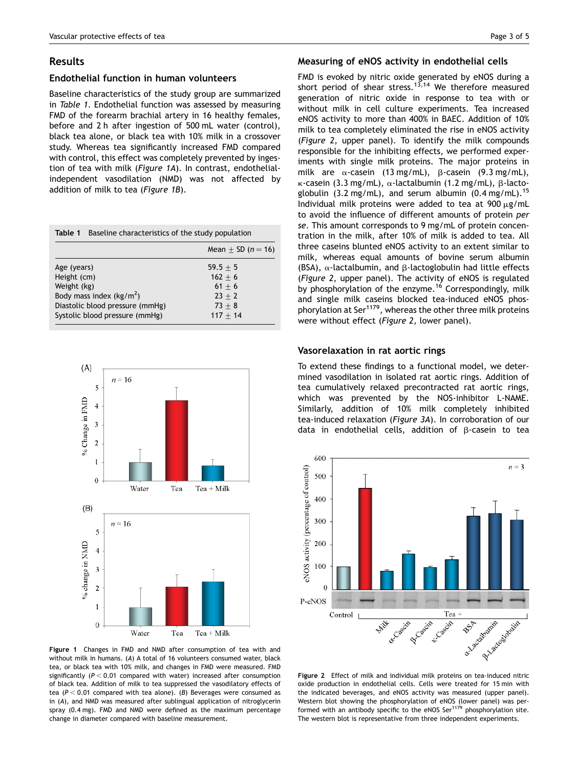## Results

### Endothelial function in human volunteers

Baseline characteristics of the study group are summarized in Table 1. Endothelial function was assessed by measuring FMD of the forearm brachial artery in 16 healthy females, before and 2 h after ingestion of 500 mL water (control), black tea alone, or black tea with 10% milk in a crossover study. Whereas tea significantly increased FMD compared with control, this effect was completely prevented by ingestion of tea with milk (Figure 1A). In contrast, endothelialindependent vasodilation (NMD) was not affected by addition of milk to tea (Figure 1B).

|                                                                                                                                               | <b>Table 1</b> Baseline characteristics of the study population           |  |  |  |  |  |
|-----------------------------------------------------------------------------------------------------------------------------------------------|---------------------------------------------------------------------------|--|--|--|--|--|
|                                                                                                                                               | Mean + SD $(n = 16)$                                                      |  |  |  |  |  |
| Age (years)<br>Height (cm)<br>Weight (kg)<br>Body mass index ( $kg/m2$ )<br>Diastolic blood pressure (mmHg)<br>Systolic blood pressure (mmHg) | $59.5 + 5$<br>$162 + 6$<br>$61 + 6$<br>$23 + 2$<br>$73 + 8$<br>$117 + 14$ |  |  |  |  |  |



Figure 1 Changes in FMD and NMD after consumption of tea with and without milk in humans. (A) A total of 16 volunteers consumed water, black tea, or black tea with 10% milk, and changes in FMD were measured. FMD significantly ( $P < 0.01$  compared with water) increased after consumption of black tea. Addition of milk to tea suppressed the vasodilatory effects of tea ( $P < 0.01$  compared with tea alone). (B) Beverages were consumed as in (A), and NMD was measured after sublingual application of nitroglycerin spray (0.4 mg). FMD and NMD were defined as the maximum percentage change in diameter compared with baseline measurement.

## Measuring of eNOS activity in endothelial cells

FMD is evoked by nitric oxide generated by eNOS during a short period of shear stress.<sup>13,14</sup> We therefore measured generation of nitric oxide in response to tea with or without milk in cell culture experiments. Tea increased eNOS activity to more than 400% in BAEC. Addition of 10% milk to tea completely eliminated the rise in eNOS activity (Figure 2, upper panel). To identify the milk compounds responsible for the inhibiting effects, we performed experiments with single milk proteins. The major proteins in milk are  $\alpha$ -casein (13 mg/mL),  $\beta$ -casein (9.3 mg/mL),  $\kappa$ -casein (3.3 mg/mL),  $\alpha$ -lactalbumin (1.2 mg/mL),  $\beta$ -lactoglobulin  $(3.2 \text{ mg/mL})$ , and serum albumin  $(0.4 \text{ mg/mL})$ .<sup>15</sup> Individual milk proteins were added to tea at 900  $\mu$ g/mL to avoid the influence of different amounts of protein per se. This amount corresponds to 9 mg/mL of protein concentration in the milk, after 10% of milk is added to tea. All three caseins blunted eNOS activity to an extent similar to milk, whereas equal amounts of bovine serum albumin (BSA),  $\alpha$ -lactalbumin, and  $\beta$ -lactoglobulin had little effects (Figure 2, upper panel). The activity of eNOS is regulated by phosphorylation of the enzyme.<sup>16</sup> Correspondingly, milk and single milk caseins blocked tea-induced eNOS phosphorylation at Ser<sup>1179</sup>, whereas the other three milk proteins were without effect (Figure 2, lower panel).

## Vasorelaxation in rat aortic rings

To extend these findings to a functional model, we determined vasodilation in isolated rat aortic rings. Addition of tea cumulatively relaxed precontracted rat aortic rings, which was prevented by the NOS-inhibitor L-NAME. Similarly, addition of 10% milk completely inhibited tea-induced relaxation (Figure 3A). In corroboration of our data in endothelial cells, addition of B-casein to tea



Figure 2 Effect of milk and individual milk proteins on tea-induced nitric oxide production in endothelial cells. Cells were treated for 15 min with the indicated beverages, and eNOS activity was measured (upper panel). Western blot showing the phosphorylation of eNOS (lower panel) was per-<br>formed with an antibody specific to the eNOS Ser<sup>1179</sup> phosphorylation site. The western blot is representative from three independent experiments.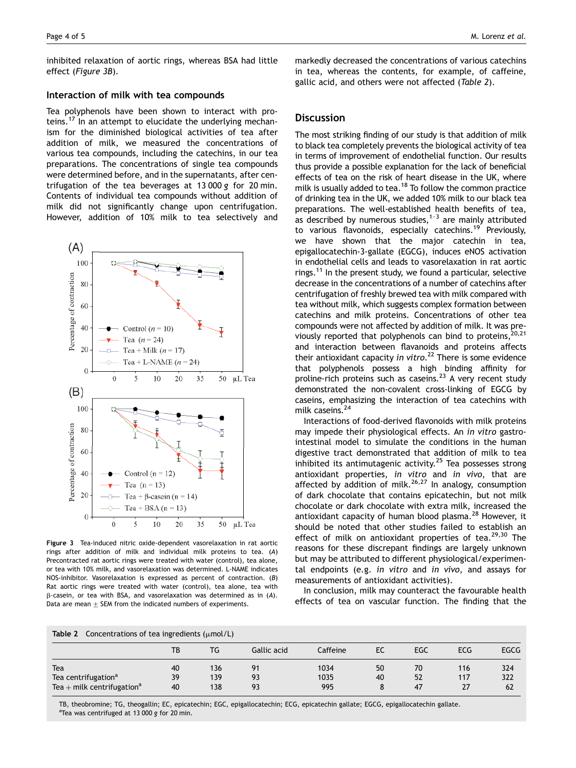inhibited relaxation of aortic rings, whereas BSA had little effect (Figure 3B).

## Interaction of milk with tea compounds

Tea polyphenols have been shown to interact with proteins.<sup>17</sup> In an attempt to elucidate the underlying mechanism for the diminished biological activities of tea after addition of milk, we measured the concentrations of various tea compounds, including the catechins, in our tea preparations. The concentrations of single tea compounds were determined before, and in the supernatants, after centrifugation of the tea beverages at 13 000 g for 20 min. Contents of individual tea compounds without addition of milk did not significantly change upon centrifugation. However, addition of 10% milk to tea selectively and



Figure 3 Tea-induced nitric oxide-dependent vasorelaxation in rat aortic rings after addition of milk and individual milk proteins to tea. (A) Precontracted rat aortic rings were treated with water (control), tea alone, or tea with 10% milk, and vasorelaxation was determined. L-NAME indicates NOS-inhibitor. Vasorelaxation is expressed as percent of contraction. (B) Rat aortic rings were treated with water (control), tea alone, tea with  $\beta$ -casein, or tea with BSA, and vasorelaxation was determined as in (A). Data are mean  $\pm$  SEM from the indicated numbers of experiments.

markedly decreased the concentrations of various catechins in tea, whereas the contents, for example, of caffeine, gallic acid, and others were not affected (Table 2).

## **Discussion**

The most striking finding of our study is that addition of milk to black tea completely prevents the biological activity of tea in terms of improvement of endothelial function. Our results thus provide a possible explanation for the lack of beneficial effects of tea on the risk of heart disease in the UK, where milk is usually added to tea.<sup>18</sup> To follow the common practice of drinking tea in the UK, we added 10% milk to our black tea preparations. The well-established health benefits of tea, as described by numerous studies, $1-3$  are mainly attributed to various flavonoids, especially catechins.<sup>19</sup> Previously, we have shown that the major catechin in tea, epigallocatechin-3-gallate (EGCG), induces eNOS activation in endothelial cells and leads to vasorelaxation in rat aortic rings.<sup>11</sup> In the present study, we found a particular, selective decrease in the concentrations of a number of catechins after centrifugation of freshly brewed tea with milk compared with tea without milk, which suggests complex formation between catechins and milk proteins. Concentrations of other tea compounds were not affected by addition of milk. It was previously reported that polyphenols can bind to proteins,  $20,21$ and interaction between flavanoids and proteins affects their antioxidant capacity in vitro.<sup>22</sup> There is some evidence that polyphenols possess a high binding affinity for proline-rich proteins such as caseins.<sup>23</sup> A very recent study demonstrated the non-covalent cross-linking of EGCG by caseins, emphasizing the interaction of tea catechins with milk caseins.<sup>24</sup>

Interactions of food-derived flavonoids with milk proteins may impede their physiological effects. An in vitro gastrointestinal model to simulate the conditions in the human digestive tract demonstrated that addition of milk to tea inhibited its antimutagenic activity.<sup>25</sup> Tea possesses strong antioxidant properties, in vitro and in vivo, that are affected by addition of milk.<sup>26,27</sup> In analogy, consumption of dark chocolate that contains epicatechin, but not milk chocolate or dark chocolate with extra milk, increased the antioxidant capacity of human blood plasma.<sup>28</sup> However, it should be noted that other studies failed to establish an effect of milk on antioxidant properties of tea. $29,30$  The reasons for these discrepant findings are largely unknown but may be attributed to different physiological/experimental endpoints (e.g. in vitro and in vivo, and assays for measurements of antioxidant activities).

In conclusion, milk may counteract the favourable health effects of tea on vascular function. The finding that the

|  | Table 2 Concentrations of tea ingredients ( $\mu$ mol/L) |  |  |
|--|----------------------------------------------------------|--|--|
|--|----------------------------------------------------------|--|--|

| $I$ a $U$ ic $L$<br>Concentrations or tea migredients (prinot/L) |    |     |             |          |    |     |            |             |  |  |  |
|------------------------------------------------------------------|----|-----|-------------|----------|----|-----|------------|-------------|--|--|--|
|                                                                  | тв | TG  | Gallic acid | Caffeine | ЕC | EGC | <b>ECG</b> | <b>EGCG</b> |  |  |  |
| Tea                                                              | 40 | 136 | 91          | 1034     | 50 | 70  | 116        | 324         |  |  |  |
| Tea centrifugation <sup>a</sup>                                  | 39 | 139 | 93          | 1035     | 40 | 52  | 117        | 322         |  |  |  |
| Tea + milk centrifugation <sup>a</sup>                           | 40 | 138 | 93          | 995      |    | 47  | 27         | 62          |  |  |  |

TB, theobromine; TG, theogallin; EC, epicatechin; EGC, epigallocatechin; ECG, epicatechin gallate; EGCG, epigallocatechin gallate. <sup>a</sup>Tea was centrifuged at 13 000 g for 20 min.